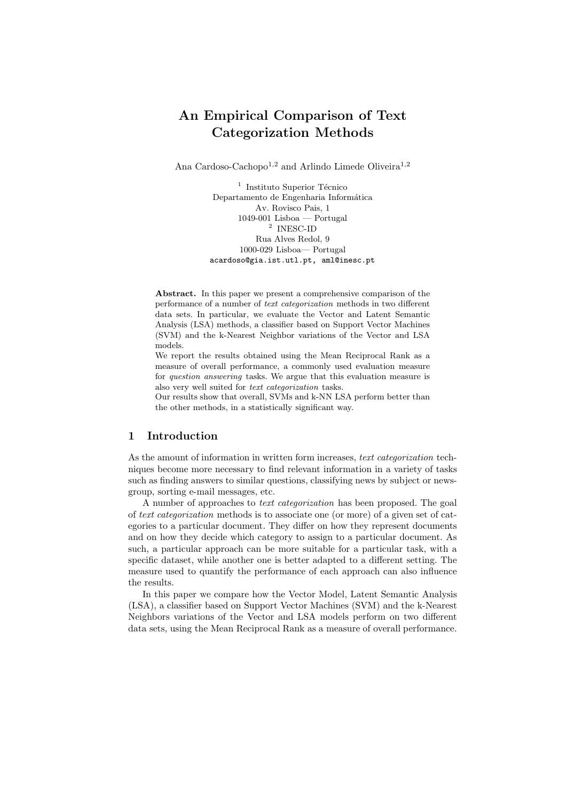# An Empirical Comparison of Text Categorization Methods

Ana Cardoso-Cachopo<sup>1,2</sup> and Arlindo Limede Oliveira<sup>1,2</sup>

 $^{\rm 1}$  Instituto Superior Técnico Departamento de Engenharia Informática Av. Rovisco Pais, 1 1049-001 Lisboa — Portugal 2 INESC-ID Rua Alves Redol, 9 1000-029 Lisboa— Portugal acardoso@gia.ist.utl.pt, aml@inesc.pt

Abstract. In this paper we present a comprehensive comparison of the performance of a number of text categorization methods in two different data sets. In particular, we evaluate the Vector and Latent Semantic Analysis (LSA) methods, a classifier based on Support Vector Machines (SVM) and the k-Nearest Neighbor variations of the Vector and LSA models.

We report the results obtained using the Mean Reciprocal Rank as a measure of overall performance, a commonly used evaluation measure for question answering tasks. We argue that this evaluation measure is also very well suited for text categorization tasks.

Our results show that overall, SVMs and k-NN LSA perform better than the other methods, in a statistically significant way.

### 1 Introduction

As the amount of information in written form increases, text categorization techniques become more necessary to find relevant information in a variety of tasks such as finding answers to similar questions, classifying news by subject or newsgroup, sorting e-mail messages, etc.

A number of approaches to text categorization has been proposed. The goal of text categorization methods is to associate one (or more) of a given set of categories to a particular document. They differ on how they represent documents and on how they decide which category to assign to a particular document. As such, a particular approach can be more suitable for a particular task, with a specific dataset, while another one is better adapted to a different setting. The measure used to quantify the performance of each approach can also influence the results.

In this paper we compare how the Vector Model, Latent Semantic Analysis (LSA), a classifier based on Support Vector Machines (SVM) and the k-Nearest Neighbors variations of the Vector and LSA models perform on two different data sets, using the Mean Reciprocal Rank as a measure of overall performance.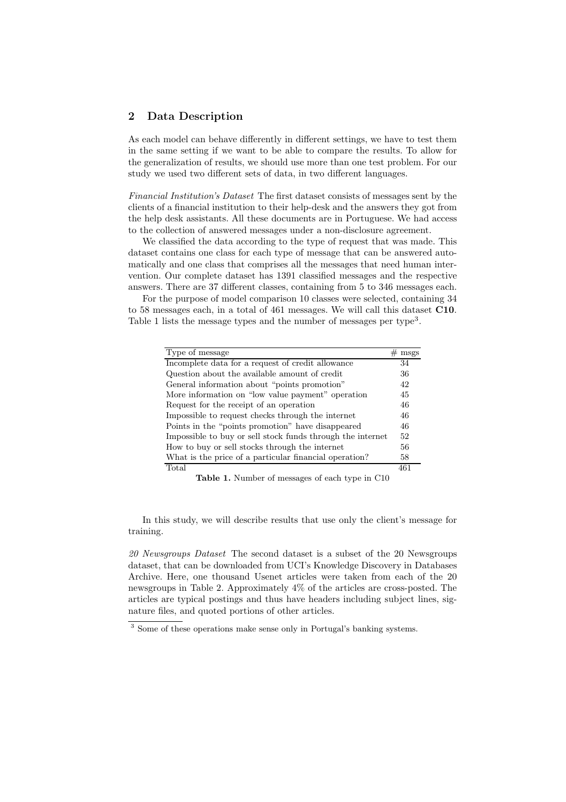# 2 Data Description

As each model can behave differently in different settings, we have to test them in the same setting if we want to be able to compare the results. To allow for the generalization of results, we should use more than one test problem. For our study we used two different sets of data, in two different languages.

Financial Institution's Dataset The first dataset consists of messages sent by the clients of a financial institution to their help-desk and the answers they got from the help desk assistants. All these documents are in Portuguese. We had access to the collection of answered messages under a non-disclosure agreement.

We classified the data according to the type of request that was made. This dataset contains one class for each type of message that can be answered automatically and one class that comprises all the messages that need human intervention. Our complete dataset has 1391 classified messages and the respective answers. There are 37 different classes, containing from 5 to 346 messages each.

For the purpose of model comparison 10 classes were selected, containing 34 to 58 messages each, in a total of 461 messages. We will call this dataset C10. Table 1 lists the message types and the number of messages per type<sup>3</sup>.

| Type of message                                            | msgs<br># |
|------------------------------------------------------------|-----------|
| Incomplete data for a request of credit allowance          | 34        |
| Question about the available amount of credit              | 36        |
| General information about "points promotion"               | 42        |
| More information on "low value payment" operation          | 45        |
| Request for the receipt of an operation                    | 46        |
| Impossible to request checks through the internet          | 46        |
| Points in the "points promotion" have disappeared          | 46        |
| Impossible to buy or sell stock funds through the internet | 52        |
| How to buy or sell stocks through the internet             | 56        |
| What is the price of a particular financial operation?     | 58        |
| Total                                                      | 461       |

Table 1. Number of messages of each type in C10

In this study, we will describe results that use only the client's message for training.

20 Newsgroups Dataset The second dataset is a subset of the 20 Newsgroups dataset, that can be downloaded from UCI's Knowledge Discovery in Databases Archive. Here, one thousand Usenet articles were taken from each of the 20 newsgroups in Table 2. Approximately 4% of the articles are cross-posted. The articles are typical postings and thus have headers including subject lines, signature files, and quoted portions of other articles.

<sup>&</sup>lt;sup>3</sup> Some of these operations make sense only in Portugal's banking systems.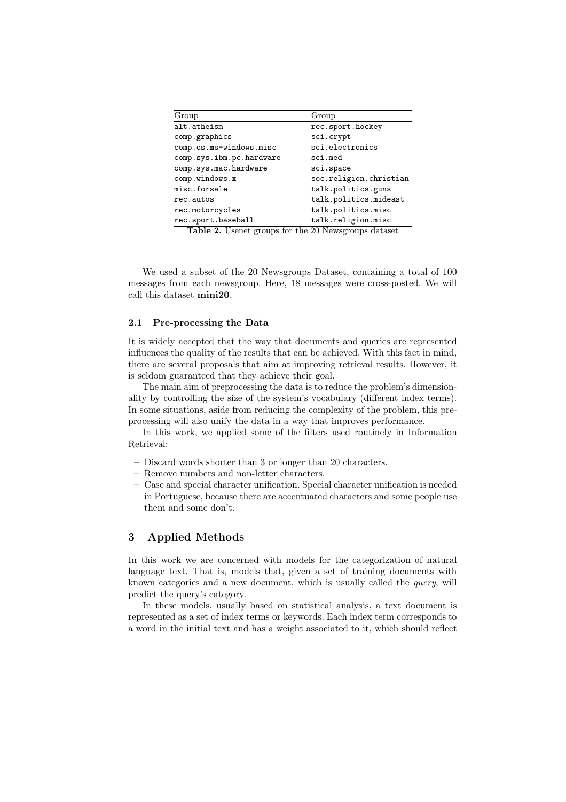| Group                                                    | Group                  |
|----------------------------------------------------------|------------------------|
| alt.atheism                                              | rec.sport.hockey       |
| comp.graphics                                            | sci.crypt              |
| comp.os.ms-windows.misc                                  | sci.electronics        |
| comp.sys.ibm.pc.hardware                                 | sci.med                |
| comp.sys.mac.hardware                                    | sci.space              |
| comp.windows.x                                           | soc.religion.christian |
| misc.forsale                                             | talk.politics.guns     |
| rec.autos                                                | talk.politics.mideast  |
| rec.motorcycles                                          | talk.politics.misc     |
| rec.sport.baseball                                       | talk.religion.misc     |
| <b>Table 2</b> Henot groups for the 20 Newsgroups detect |                        |

Table 2. Usenet groups for the 20 Newsgroups dataset

We used a subset of the 20 Newsgroups Dataset, containing a total of 100 messages from each newsgroup. Here, 18 messages were cross-posted. We will call this dataset mini20.

### 2.1 Pre-processing the Data

It is widely accepted that the way that documents and queries are represented influences the quality of the results that can be achieved. With this fact in mind, there are several proposals that aim at improving retrieval results. However, it is seldom guaranteed that they achieve their goal.

The main aim of preprocessing the data is to reduce the problem's dimensionality by controlling the size of the system's vocabulary (different index terms). In some situations, aside from reducing the complexity of the problem, this preprocessing will also unify the data in a way that improves performance.

In this work, we applied some of the filters used routinely in Information Retrieval:

- Discard words shorter than 3 or longer than 20 characters.
- Remove numbers and non-letter characters.
- Case and special character unification. Special character unification is needed in Portuguese, because there are accentuated characters and some people use them and some don't.

# 3 Applied Methods

In this work we are concerned with models for the categorization of natural language text. That is, models that, given a set of training documents with known categories and a new document, which is usually called the query, will predict the query's category.

In these models, usually based on statistical analysis, a text document is represented as a set of index terms or keywords. Each index term corresponds to a word in the initial text and has a weight associated to it, which should reflect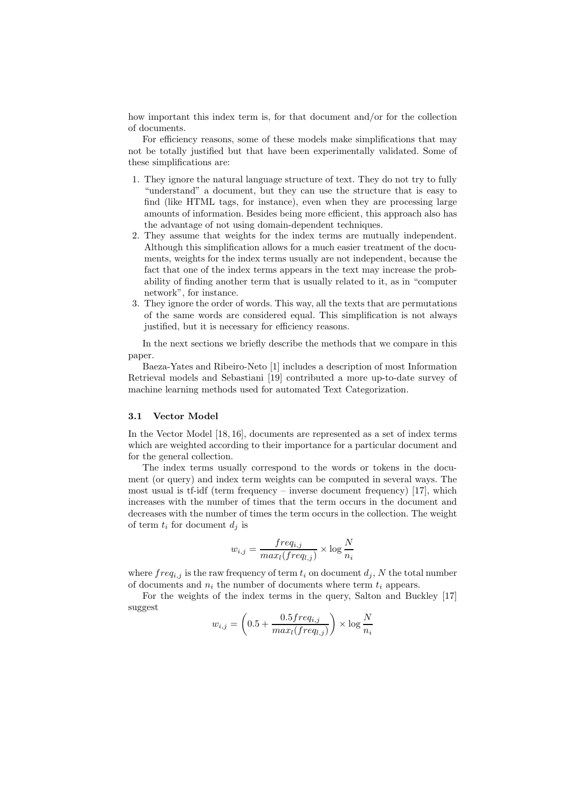how important this index term is, for that document and/or for the collection of documents.

For efficiency reasons, some of these models make simplifications that may not be totally justified but that have been experimentally validated. Some of these simplifications are:

- 1. They ignore the natural language structure of text. They do not try to fully "understand" a document, but they can use the structure that is easy to find (like HTML tags, for instance), even when they are processing large amounts of information. Besides being more efficient, this approach also has the advantage of not using domain-dependent techniques.
- 2. They assume that weights for the index terms are mutually independent. Although this simplification allows for a much easier treatment of the documents, weights for the index terms usually are not independent, because the fact that one of the index terms appears in the text may increase the probability of finding another term that is usually related to it, as in "computer network", for instance.
- 3. They ignore the order of words. This way, all the texts that are permutations of the same words are considered equal. This simplification is not always justified, but it is necessary for efficiency reasons.

In the next sections we briefly describe the methods that we compare in this paper.

Baeza-Yates and Ribeiro-Neto [1] includes a description of most Information Retrieval models and Sebastiani [19] contributed a more up-to-date survey of machine learning methods used for automated Text Categorization.

#### 3.1 Vector Model

In the Vector Model [18, 16], documents are represented as a set of index terms which are weighted according to their importance for a particular document and for the general collection.

The index terms usually correspond to the words or tokens in the document (or query) and index term weights can be computed in several ways. The most usual is tf-idf (term frequency – inverse document frequency)  $[17]$ , which increases with the number of times that the term occurs in the document and decreases with the number of times the term occurs in the collection. The weight of term  $t_i$  for document  $d_j$  is

$$
w_{i,j} = \frac{freq_{i,j}}{max_l(freq_{i,j})} \times \log \frac{N}{n_i}
$$

where  $freq_{i,j}$  is the raw frequency of term  $t_i$  on document  $d_j$ , N the total number of documents and  $n_i$  the number of documents where term  $t_i$  appears.

For the weights of the index terms in the query, Salton and Buckley [17] suggest

$$
w_{i,j} = \left(0.5 + \frac{0.5freq_{i,j}}{max_l(freq_{l,j})}\right) \times \log \frac{N}{n_i}
$$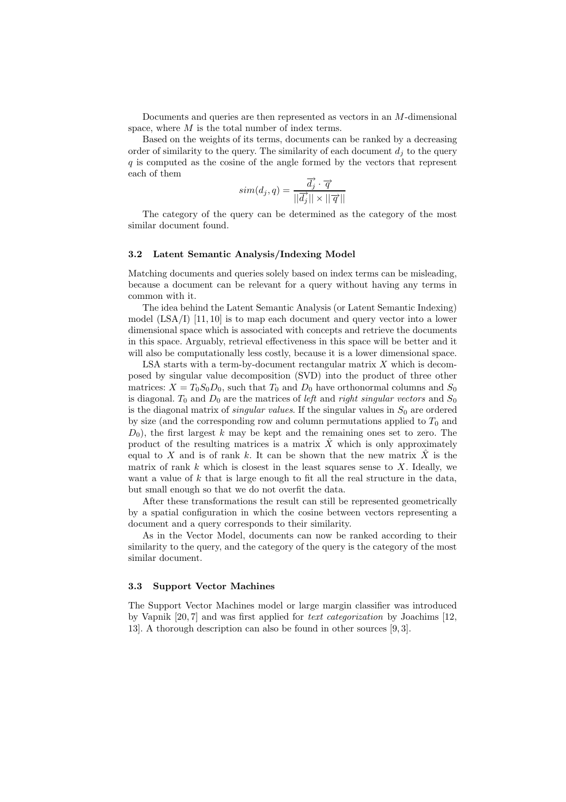Documents and queries are then represented as vectors in an M-dimensional space, where M is the total number of index terms.

Based on the weights of its terms, documents can be ranked by a decreasing order of similarity to the query. The similarity of each document  $d_i$  to the query q is computed as the cosine of the angle formed by the vectors that represent each of them →−

$$
sim(d_j,q) = \frac{\overrightarrow{d_j} \cdot \overrightarrow{q}}{||\overrightarrow{d_j}|| \times ||\overrightarrow{q}||}
$$

The category of the query can be determined as the category of the most similar document found.

#### 3.2 Latent Semantic Analysis/Indexing Model

Matching documents and queries solely based on index terms can be misleading, because a document can be relevant for a query without having any terms in common with it.

The idea behind the Latent Semantic Analysis (or Latent Semantic Indexing) model  $(LSA/I)$  [11, 10] is to map each document and query vector into a lower dimensional space which is associated with concepts and retrieve the documents in this space. Arguably, retrieval effectiveness in this space will be better and it will also be computationally less costly, because it is a lower dimensional space.

LSA starts with a term-by-document rectangular matrix  $X$  which is decomposed by singular value decomposition (SVD) into the product of three other matrices:  $X = T_0S_0D_0$ , such that  $T_0$  and  $D_0$  have orthonormal columns and  $S_0$ is diagonal.  $T_0$  and  $D_0$  are the matrices of *left* and *right singular vectors* and  $S_0$ is the diagonal matrix of *singular values*. If the singular values in  $S_0$  are ordered by size (and the corresponding row and column permutations applied to  $T_0$  and  $D_0$ , the first largest k may be kept and the remaining ones set to zero. The product of the resulting matrices is a matrix  $\hat{X}$  which is only approximately equal to X and is of rank k. It can be shown that the new matrix  $\hat{X}$  is the matrix of rank  $k$  which is closest in the least squares sense to  $X$ . Ideally, we want a value of  $k$  that is large enough to fit all the real structure in the data, but small enough so that we do not overfit the data.

After these transformations the result can still be represented geometrically by a spatial configuration in which the cosine between vectors representing a document and a query corresponds to their similarity.

As in the Vector Model, documents can now be ranked according to their similarity to the query, and the category of the query is the category of the most similar document.

#### 3.3 Support Vector Machines

The Support Vector Machines model or large margin classifier was introduced by Vapnik [20, 7] and was first applied for text categorization by Joachims [12, 13]. A thorough description can also be found in other sources [9, 3].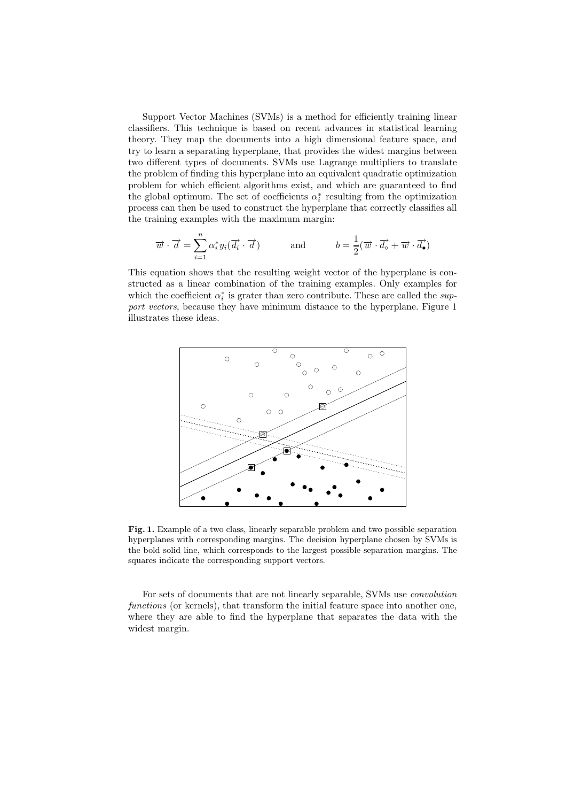Support Vector Machines (SVMs) is a method for efficiently training linear classifiers. This technique is based on recent advances in statistical learning theory. They map the documents into a high dimensional feature space, and try to learn a separating hyperplane, that provides the widest margins between two different types of documents. SVMs use Lagrange multipliers to translate the problem of finding this hyperplane into an equivalent quadratic optimization problem for which efficient algorithms exist, and which are guaranteed to find the global optimum. The set of coefficients  $\alpha_i^*$  resulting from the optimization process can then be used to construct the hyperplane that correctly classifies all the training examples with the maximum margin:

$$
\overrightarrow{w} \cdot \overrightarrow{d} = \sum_{i=1}^{n} \alpha_i^* y_i (\overrightarrow{d_i} \cdot \overrightarrow{d}) \quad \text{and} \quad b = \frac{1}{2} (\overrightarrow{w} \cdot \overrightarrow{d_o} + \overrightarrow{w} \cdot \overrightarrow{d_e})
$$

This equation shows that the resulting weight vector of the hyperplane is constructed as a linear combination of the training examples. Only examples for which the coefficient  $\alpha_i^*$  is grater than zero contribute. These are called the support vectors, because they have minimum distance to the hyperplane. Figure 1 illustrates these ideas.



Fig. 1. Example of a two class, linearly separable problem and two possible separation hyperplanes with corresponding margins. The decision hyperplane chosen by SVMs is the bold solid line, which corresponds to the largest possible separation margins. The squares indicate the corresponding support vectors.

For sets of documents that are not linearly separable, SVMs use convolution functions (or kernels), that transform the initial feature space into another one, where they are able to find the hyperplane that separates the data with the widest margin.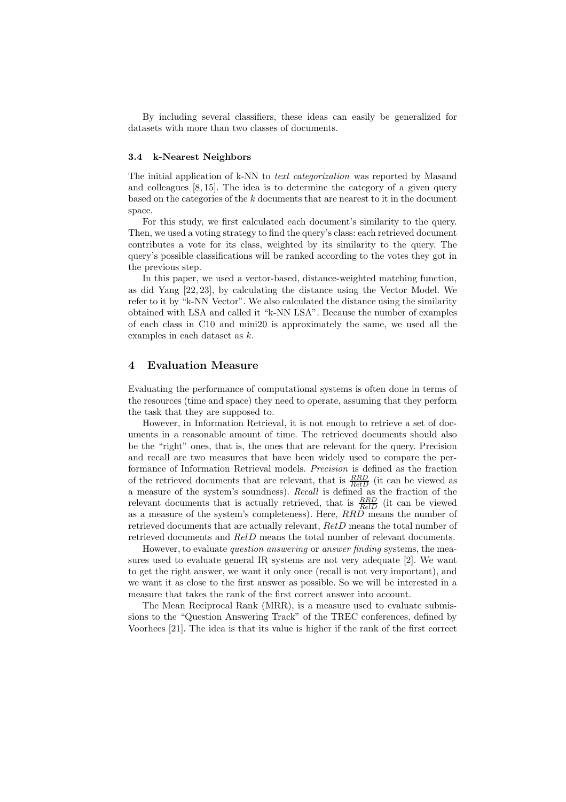By including several classifiers, these ideas can easily be generalized for datasets with more than two classes of documents.

#### 3.4 k-Nearest Neighbors

The initial application of k-NN to *text categorization* was reported by Masand and colleagues [8, 15]. The idea is to determine the category of a given query based on the categories of the k documents that are nearest to it in the document space.

For this study, we first calculated each document's similarity to the query. Then, we used a voting strategy to find the query's class: each retrieved document contributes a vote for its class, weighted by its similarity to the query. The query's possible classifications will be ranked according to the votes they got in the previous step.

In this paper, we used a vector-based, distance-weighted matching function, as did Yang [22, 23], by calculating the distance using the Vector Model. We refer to it by "k-NN Vector". We also calculated the distance using the similarity obtained with LSA and called it "k-NN LSA". Because the number of examples of each class in C10 and mini20 is approximately the same, we used all the examples in each dataset as k.

# 4 Evaluation Measure

Evaluating the performance of computational systems is often done in terms of the resources (time and space) they need to operate, assuming that they perform the task that they are supposed to.

However, in Information Retrieval, it is not enough to retrieve a set of documents in a reasonable amount of time. The retrieved documents should also be the "right" ones, that is, the ones that are relevant for the query. Precision and recall are two measures that have been widely used to compare the performance of Information Retrieval models. Precision is defined as the fraction of the retrieved documents that are relevant, that is  $\frac{RRD}{RetD}$  (it can be viewed as a measure of the system's soundness). Recall is defined as the fraction of the relevant documents that is actually retrieved, that is  $\frac{RRD}{RelD}$  (it can be viewed as a measure of the system's completeness). Here, RRD means the number of retrieved documents that are actually relevant, RetD means the total number of retrieved documents and RelD means the total number of relevant documents.

However, to evaluate question answering or answer finding systems, the measures used to evaluate general IR systems are not very adequate [2]. We want to get the right answer, we want it only once (recall is not very important), and we want it as close to the first answer as possible. So we will be interested in a measure that takes the rank of the first correct answer into account.

The Mean Reciprocal Rank (MRR), is a measure used to evaluate submissions to the "Question Answering Track" of the TREC conferences, defined by Voorhees [21]. The idea is that its value is higher if the rank of the first correct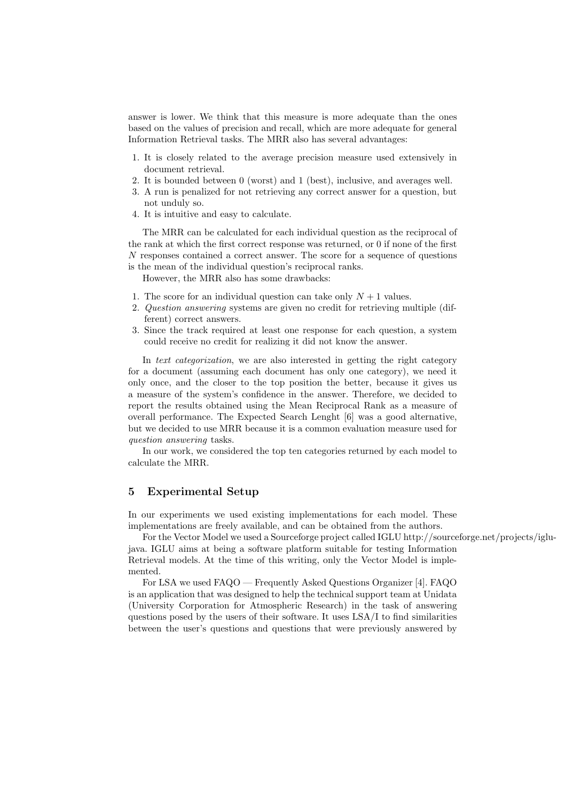answer is lower. We think that this measure is more adequate than the ones based on the values of precision and recall, which are more adequate for general Information Retrieval tasks. The MRR also has several advantages:

- 1. It is closely related to the average precision measure used extensively in document retrieval.
- 2. It is bounded between 0 (worst) and 1 (best), inclusive, and averages well.
- 3. A run is penalized for not retrieving any correct answer for a question, but not unduly so.
- 4. It is intuitive and easy to calculate.

The MRR can be calculated for each individual question as the reciprocal of the rank at which the first correct response was returned, or 0 if none of the first N responses contained a correct answer. The score for a sequence of questions is the mean of the individual question's reciprocal ranks.

However, the MRR also has some drawbacks:

- 1. The score for an individual question can take only  $N + 1$  values.
- 2. Question answering systems are given no credit for retrieving multiple (different) correct answers.
- 3. Since the track required at least one response for each question, a system could receive no credit for realizing it did not know the answer.

In text categorization, we are also interested in getting the right category for a document (assuming each document has only one category), we need it only once, and the closer to the top position the better, because it gives us a measure of the system's confidence in the answer. Therefore, we decided to report the results obtained using the Mean Reciprocal Rank as a measure of overall performance. The Expected Search Lenght [6] was a good alternative, but we decided to use MRR because it is a common evaluation measure used for question answering tasks.

In our work, we considered the top ten categories returned by each model to calculate the MRR.

# 5 Experimental Setup

In our experiments we used existing implementations for each model. These implementations are freely available, and can be obtained from the authors.

For the Vector Model we used a Sourceforge project called IGLU http://sourceforge.net/projects/iglujava. IGLU aims at being a software platform suitable for testing Information Retrieval models. At the time of this writing, only the Vector Model is implemented.

For LSA we used FAQO — Frequently Asked Questions Organizer [4]. FAQO is an application that was designed to help the technical support team at Unidata (University Corporation for Atmospheric Research) in the task of answering questions posed by the users of their software. It uses LSA/I to find similarities between the user's questions and questions that were previously answered by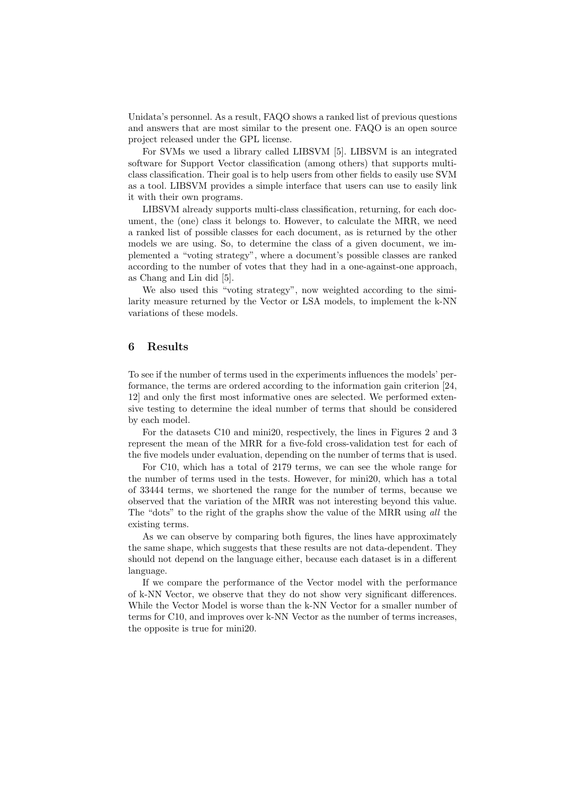Unidata's personnel. As a result, FAQO shows a ranked list of previous questions and answers that are most similar to the present one. FAQO is an open source project released under the GPL license.

For SVMs we used a library called LIBSVM [5]. LIBSVM is an integrated software for Support Vector classification (among others) that supports multiclass classification. Their goal is to help users from other fields to easily use SVM as a tool. LIBSVM provides a simple interface that users can use to easily link it with their own programs.

LIBSVM already supports multi-class classification, returning, for each document, the (one) class it belongs to. However, to calculate the MRR, we need a ranked list of possible classes for each document, as is returned by the other models we are using. So, to determine the class of a given document, we implemented a "voting strategy", where a document's possible classes are ranked according to the number of votes that they had in a one-against-one approach, as Chang and Lin did [5].

We also used this "voting strategy", now weighted according to the similarity measure returned by the Vector or LSA models, to implement the k-NN variations of these models.

## 6 Results

To see if the number of terms used in the experiments influences the models' performance, the terms are ordered according to the information gain criterion [24, 12] and only the first most informative ones are selected. We performed extensive testing to determine the ideal number of terms that should be considered by each model.

For the datasets C10 and mini20, respectively, the lines in Figures 2 and 3 represent the mean of the MRR for a five-fold cross-validation test for each of the five models under evaluation, depending on the number of terms that is used.

For C10, which has a total of 2179 terms, we can see the whole range for the number of terms used in the tests. However, for mini20, which has a total of 33444 terms, we shortened the range for the number of terms, because we observed that the variation of the MRR was not interesting beyond this value. The "dots" to the right of the graphs show the value of the MRR using all the existing terms.

As we can observe by comparing both figures, the lines have approximately the same shape, which suggests that these results are not data-dependent. They should not depend on the language either, because each dataset is in a different language.

If we compare the performance of the Vector model with the performance of k-NN Vector, we observe that they do not show very significant differences. While the Vector Model is worse than the k-NN Vector for a smaller number of terms for C10, and improves over k-NN Vector as the number of terms increases, the opposite is true for mini20.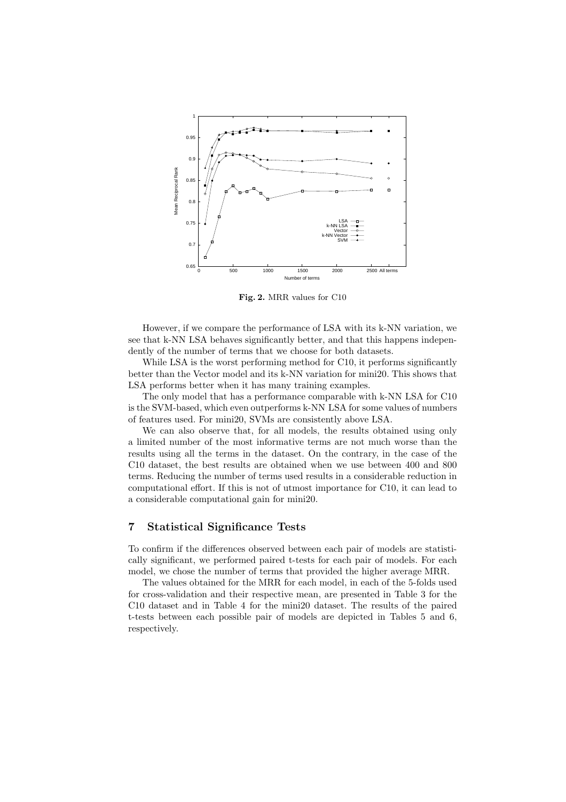

Fig. 2. MRR values for C10

However, if we compare the performance of LSA with its k-NN variation, we see that k-NN LSA behaves significantly better, and that this happens independently of the number of terms that we choose for both datasets.

While LSA is the worst performing method for C10, it performs significantly better than the Vector model and its k-NN variation for mini20. This shows that LSA performs better when it has many training examples.

The only model that has a performance comparable with k-NN LSA for C10 is the SVM-based, which even outperforms k-NN LSA for some values of numbers of features used. For mini20, SVMs are consistently above LSA.

We can also observe that, for all models, the results obtained using only a limited number of the most informative terms are not much worse than the results using all the terms in the dataset. On the contrary, in the case of the C10 dataset, the best results are obtained when we use between 400 and 800 terms. Reducing the number of terms used results in a considerable reduction in computational effort. If this is not of utmost importance for C10, it can lead to a considerable computational gain for mini20.

# 7 Statistical Significance Tests

To confirm if the differences observed between each pair of models are statistically significant, we performed paired t-tests for each pair of models. For each model, we chose the number of terms that provided the higher average MRR.

The values obtained for the MRR for each model, in each of the 5-folds used for cross-validation and their respective mean, are presented in Table 3 for the C10 dataset and in Table 4 for the mini20 dataset. The results of the paired t-tests between each possible pair of models are depicted in Tables 5 and 6, respectively.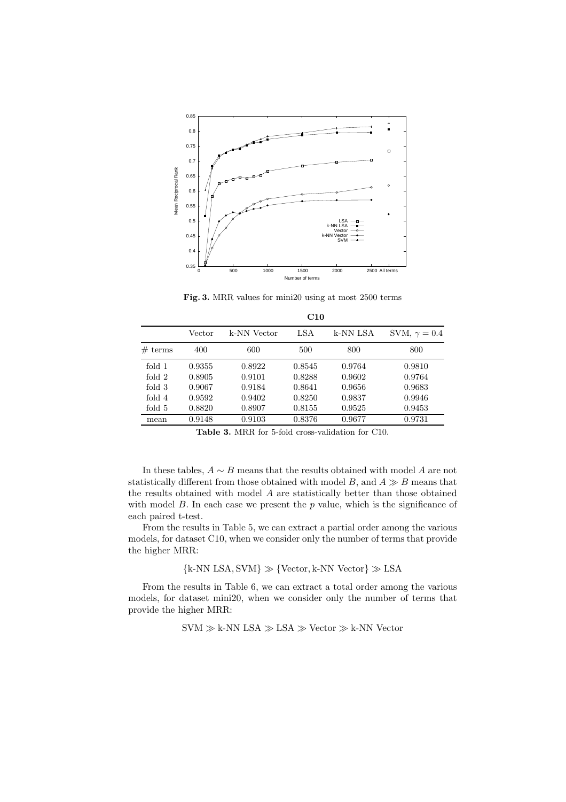

Fig. 3. MRR values for mini20 using at most 2500 terms

|          | C10    |             |        |          |                     |
|----------|--------|-------------|--------|----------|---------------------|
|          | Vector | k-NN Vector | LSA    | k-NN LSA | SVM, $\gamma = 0.4$ |
| # terms  | 400    | 600         | 500    | 800      | 800                 |
| fold $1$ | 0.9355 | 0.8922      | 0.8545 | 0.9764   | 0.9810              |
| fold $2$ | 0.8905 | 0.9101      | 0.8288 | 0.9602   | 0.9764              |
| fold $3$ | 0.9067 | 0.9184      | 0.8641 | 0.9656   | 0.9683              |
| fold $4$ | 0.9592 | 0.9402      | 0.8250 | 0.9837   | 0.9946              |
| fold $5$ | 0.8820 | 0.8907      | 0.8155 | 0.9525   | 0.9453              |
| mean     | 0.9148 | 0.9103      | 0.8376 | 0.9677   | 0.9731              |

Table 3. MRR for 5-fold cross-validation for C10.

In these tables,  $A \sim B$  means that the results obtained with model A are not statistically different from those obtained with model  $B$ , and  $A \gg B$  means that the results obtained with model A are statistically better than those obtained with model  $B$ . In each case we present the  $p$  value, which is the significance of each paired t-test.

From the results in Table 5, we can extract a partial order among the various models, for dataset C10, when we consider only the number of terms that provide the higher MRR:

 ${k-NN}$  LSA, SVM}  $\gg$  {Vector, k-NN Vector}  $\gg$  LSA

From the results in Table 6, we can extract a total order among the various models, for dataset mini20, when we consider only the number of terms that provide the higher MRR:

 $\text{SVM}\gg\text{k-NN}$ LSA $\gg\text{LSA}\gg\text{Vector}\gg\text{k-NN}$ Vector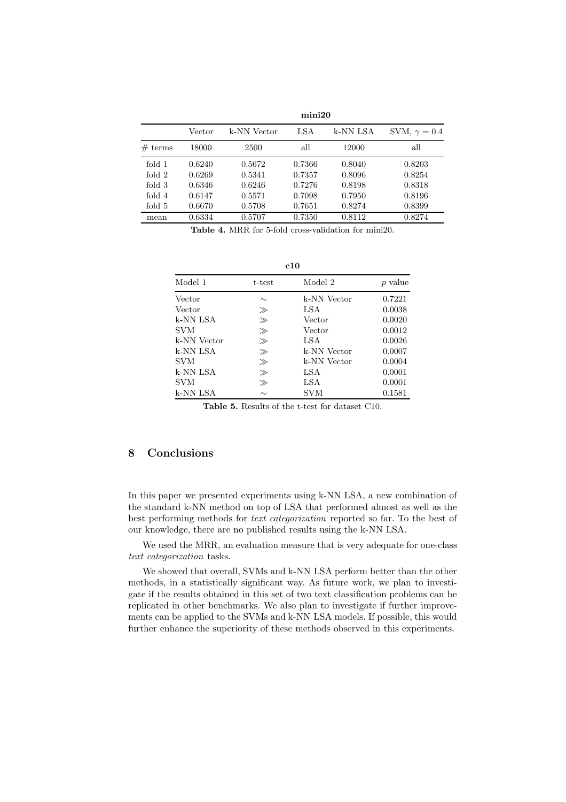|          | Vector | k-NN Vector | LSA    | k-NN LSA | SVM, $\gamma = 0.4$ |
|----------|--------|-------------|--------|----------|---------------------|
| # terms  | 18000  | 2500        | all    | 12000    | all                 |
| fold 1   | 0.6240 | 0.5672      | 0.7366 | 0.8040   | 0.8203              |
| fold $2$ | 0.6269 | 0.5341      | 0.7357 | 0.8096   | 0.8254              |
| fold 3   | 0.6346 | 0.6246      | 0.7276 | 0.8198   | 0.8318              |
| fold 4   | 0.6147 | 0.5571      | 0.7098 | 0.7950   | 0.8196              |
| fold $5$ | 0.6670 | 0.5708      | 0.7651 | 0.8274   | 0.8399              |
| mean     | 0.6334 | 0.5707      | 0.7350 | 0.8112   | 0.8274              |

 $m:200$ 

Table 4. MRR for 5-fold cross-validation for mini20.

c10

| Model 1     | t-test       | Model 2     | p value |  |
|-------------|--------------|-------------|---------|--|
| Vector      | $\sim$       | k-NN Vector | 0.7221  |  |
| Vector      | $>\!\!>\!\!$ | LSA         | 0.0038  |  |
| k-NN LSA    | $\gg$        | Vector      | 0.0020  |  |
| SVM         | $\gg$        | Vector      | 0.0012  |  |
| k-NN Vector | $\gg$        | LSA         | 0.0026  |  |
| k-NN LSA    | $\gg$        | k-NN Vector | 0.0007  |  |
| SVM         | $\gg$        | k-NN Vector | 0.0004  |  |
| k-NN LSA    | $\gg$        | LSA         | 0.0001  |  |
| SVM         | $\gg$        | LSA         | 0.0001  |  |
| k-NN LSA    | $\sim$       | <b>SVM</b>  | 0.1581  |  |

Table 5. Results of the t-test for dataset C10.

# 8 Conclusions

In this paper we presented experiments using k-NN LSA, a new combination of the standard k-NN method on top of LSA that performed almost as well as the best performing methods for text categorization reported so far. To the best of our knowledge, there are no published results using the k-NN LSA.

We used the MRR, an evaluation measure that is very adequate for one-class text categorization tasks.

We showed that overall, SVMs and k-NN LSA perform better than the other methods, in a statistically significant way. As future work, we plan to investigate if the results obtained in this set of two text classification problems can be replicated in other benchmarks. We also plan to investigate if further improvements can be applied to the SVMs and k-NN LSA models. If possible, this would further enhance the superiority of these methods observed in this experiments.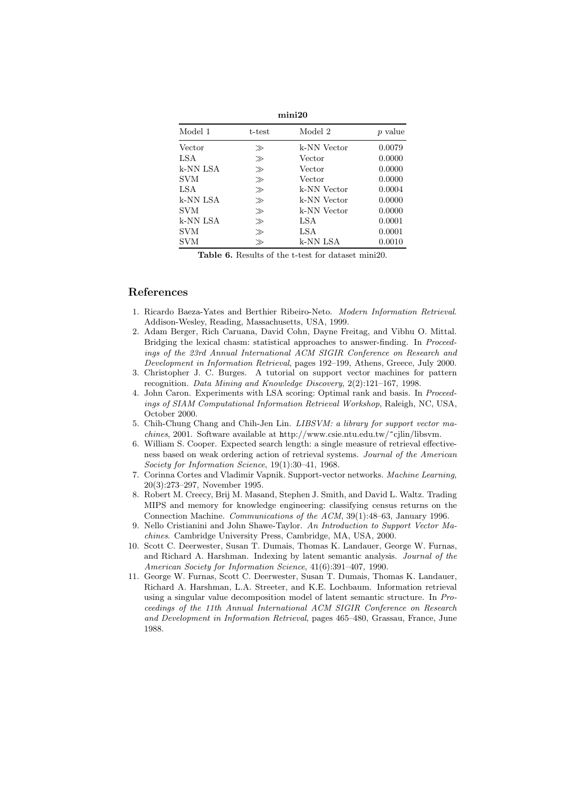| mini20     |              |             |         |  |
|------------|--------------|-------------|---------|--|
| Model 1    | t-test       | Model 2     | p value |  |
| Vector     | ≫            | k-NN Vector | 0.0079  |  |
| LSA        | $>\!\!>\!\!$ | Vector      | 0.0000  |  |
| k-NN LSA   | $>\!\!>\!\!$ | Vector      | 0.0000  |  |
| <b>SVM</b> | $\gg$        | Vector      | 0.0000  |  |
| LSA        | $\gg$        | k-NN Vector | 0.0004  |  |
| k-NN LSA   | $\gg$        | k-NN Vector | 0.0000  |  |
| <b>SVM</b> | $\gg$        | k-NN Vector | 0.0000  |  |
| k-NN LSA   | $\gg$        | LSA         | 0.0001  |  |
| <b>SVM</b> | $>\!\!>$     | LSA         | 0.0001  |  |
| <b>SVM</b> | $>\!\!>\!\!$ | k-NN LSA    | 0.0010  |  |

Table 6. Results of the t-test for dataset mini20.

# References

- 1. Ricardo Baeza-Yates and Berthier Ribeiro-Neto. Modern Information Retrieval. Addison-Wesley, Reading, Massachusetts, USA, 1999.
- 2. Adam Berger, Rich Caruana, David Cohn, Dayne Freitag, and Vibhu O. Mittal. Bridging the lexical chasm: statistical approaches to answer-finding. In *Proceed*ings of the 23rd Annual International ACM SIGIR Conference on Research and Development in Information Retrieval, pages 192–199, Athens, Greece, July 2000.
- 3. Christopher J. C. Burges. A tutorial on support vector machines for pattern recognition. Data Mining and Knowledge Discovery, 2(2):121–167, 1998.
- 4. John Caron. Experiments with LSA scoring: Optimal rank and basis. In Proceedings of SIAM Computational Information Retrieval Workshop, Raleigh, NC, USA, October 2000.
- 5. Chih-Chung Chang and Chih-Jen Lin. LIBSVM: a library for support vector machines, 2001. Software available at http://www.csie.ntu.edu.tw/~cjlin/libsvm.
- 6. William S. Cooper. Expected search length: a single measure of retrieval effectiveness based on weak ordering action of retrieval systems. Journal of the American Society for Information Science, 19(1):30–41, 1968.
- 7. Corinna Cortes and Vladimir Vapnik. Support-vector networks. Machine Learning, 20(3):273–297, November 1995.
- 8. Robert M. Creecy, Brij M. Masand, Stephen J. Smith, and David L. Waltz. Trading MIPS and memory for knowledge engineering: classifying census returns on the Connection Machine. Communications of the ACM, 39(1):48–63, January 1996.
- 9. Nello Cristianini and John Shawe-Taylor. An Introduction to Support Vector Machines. Cambridge University Press, Cambridge, MA, USA, 2000.
- 10. Scott C. Deerwester, Susan T. Dumais, Thomas K. Landauer, George W. Furnas, and Richard A. Harshman. Indexing by latent semantic analysis. Journal of the American Society for Information Science, 41(6):391–407, 1990.
- 11. George W. Furnas, Scott C. Deerwester, Susan T. Dumais, Thomas K. Landauer, Richard A. Harshman, L.A. Streeter, and K.E. Lochbaum. Information retrieval using a singular value decomposition model of latent semantic structure. In Proceedings of the 11th Annual International ACM SIGIR Conference on Research and Development in Information Retrieval, pages 465–480, Grassau, France, June 1988.